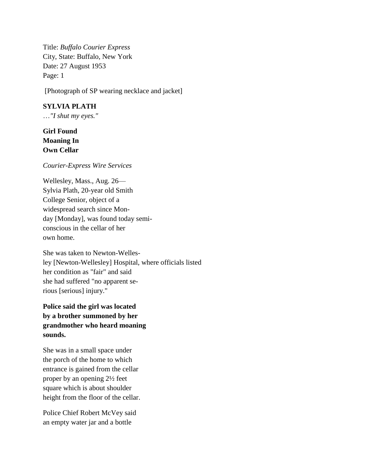Title: *Buffalo Courier Express* City, State: Buffalo, New York Date: 27 August 1953 Page: 1

[Photograph of SP wearing necklace and jacket]

## **SYLVIA PLATH**

…*"I shut my eyes."*

# **Girl Found Moaning In Own Cellar**

#### *Courier-Express Wire Services*

Wellesley, Mass., Aug. 26— Sylvia Plath, 20-year old Smith College Senior, object of a widespread search since Monday [Monday], was found today semiconscious in the cellar of her own home.

She was taken to Newton-Wellesley [Newton-Wellesley] Hospital, where officials listed her condition as "fair" and said she had suffered "no apparent serious [serious] injury."

**Police said the girl was located by a brother summoned by her grandmother who heard moaning sounds.**

She was in a small space under the porch of the home to which entrance is gained from the cellar proper by an opening 2½ feet square which is about shoulder height from the floor of the cellar.

Police Chief Robert McVey said an empty water jar and a bottle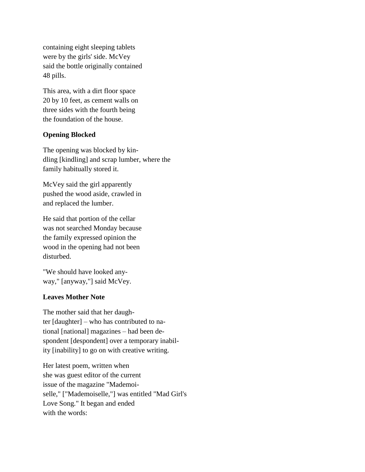containing eight sleeping tablets were by the girls' side. McVey said the bottle originally contained 48 pills.

This area, with a dirt floor space 20 by 10 feet, as cement walls on three sides with the fourth being the foundation of the house.

# **Opening Blocked**

The opening was blocked by kindling [kindling] and scrap lumber, where the family habitually stored it.

McVey said the girl apparently pushed the wood aside, crawled in and replaced the lumber.

He said that portion of the cellar was not searched Monday because the family expressed opinion the wood in the opening had not been disturbed.

"We should have looked anyway," [anyway,"] said McVey.

## **Leaves Mother Note**

The mother said that her daughter [daughter] – who has contributed to national [national] magazines – had been despondent [despondent] over a temporary inability [inability] to go on with creative writing.

Her latest poem, written when she was guest editor of the current issue of the magazine "Mademoiselle," ["Mademoiselle,"] was entitled "Mad Girl's Love Song." It began and ended with the words: